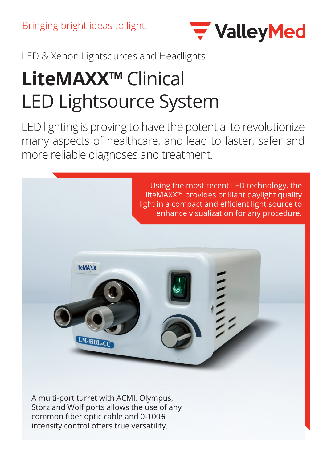

LED & Xenon Lightsources and Headlights

## **LiteMAXX™** Clinical LED Lightsource System

LED lighting is proving to have the potential to revolutionize many aspects of healthcare, and lead to faster, safer and more reliable diagnoses and treatment.



A multi-port turret with ACMI, Olympus, Storz and Wolf ports allows the use of any common fiber optic cable and 0-100% intensity control offers true versatility.